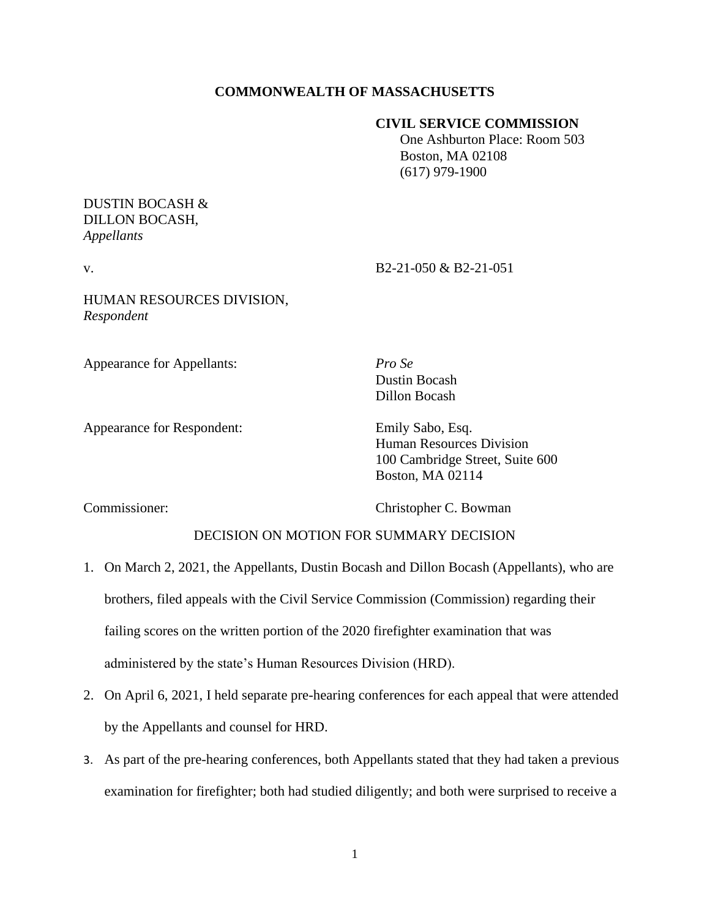# **COMMONWEALTH OF MASSACHUSETTS**

# **CIVIL SERVICE COMMISSION**

 One Ashburton Place: Room 503 Boston, MA 02108 (617) 979-1900

# DUSTIN BOCASH & DILLON BOCASH, *Appellants*

v. B2-21-050 & B2-21-051

HUMAN RESOURCES DIVISION, *Respondent*

Appearance for Appellants: *Pro Se*

Dustin Bocash Dillon Bocash

Appearance for Respondent: Emily Sabo, Esq.

Human Resources Division 100 Cambridge Street, Suite 600 Boston, MA 02114

Commissioner: Christopher C. Bowman

# DECISION ON MOTION FOR SUMMARY DECISION

- 1. On March 2, 2021, the Appellants, Dustin Bocash and Dillon Bocash (Appellants), who are brothers, filed appeals with the Civil Service Commission (Commission) regarding their failing scores on the written portion of the 2020 firefighter examination that was administered by the state's Human Resources Division (HRD).
- 2. On April 6, 2021, I held separate pre-hearing conferences for each appeal that were attended by the Appellants and counsel for HRD.
- 3. As part of the pre-hearing conferences, both Appellants stated that they had taken a previous examination for firefighter; both had studied diligently; and both were surprised to receive a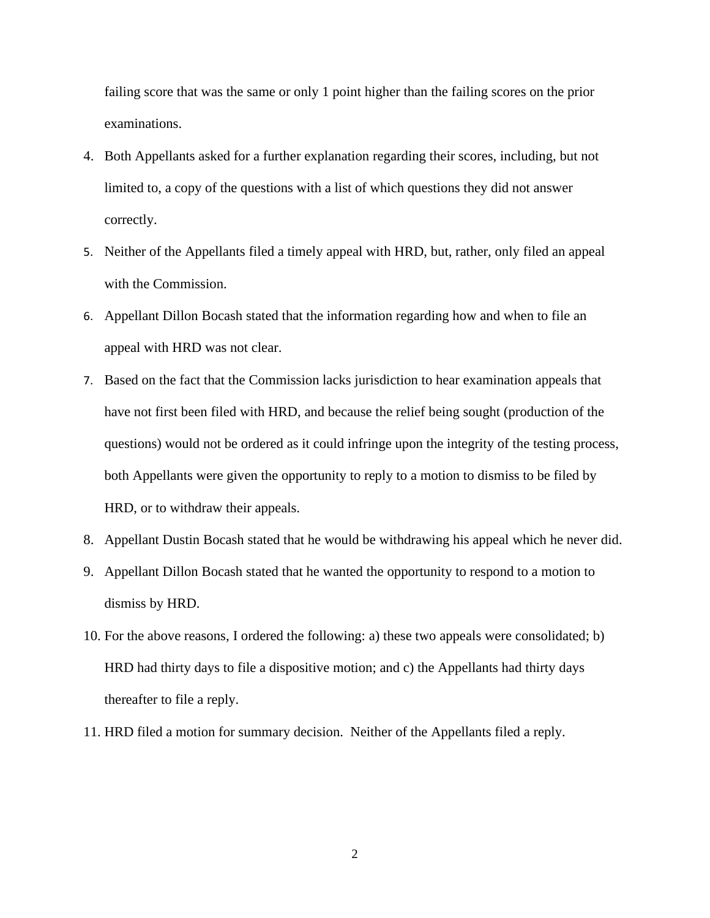failing score that was the same or only 1 point higher than the failing scores on the prior examinations.

- 4. Both Appellants asked for a further explanation regarding their scores, including, but not limited to, a copy of the questions with a list of which questions they did not answer correctly.
- 5. Neither of the Appellants filed a timely appeal with HRD, but, rather, only filed an appeal with the Commission.
- 6. Appellant Dillon Bocash stated that the information regarding how and when to file an appeal with HRD was not clear.
- 7. Based on the fact that the Commission lacks jurisdiction to hear examination appeals that have not first been filed with HRD, and because the relief being sought (production of the questions) would not be ordered as it could infringe upon the integrity of the testing process, both Appellants were given the opportunity to reply to a motion to dismiss to be filed by HRD, or to withdraw their appeals.
- 8. Appellant Dustin Bocash stated that he would be withdrawing his appeal which he never did.
- 9. Appellant Dillon Bocash stated that he wanted the opportunity to respond to a motion to dismiss by HRD.
- 10. For the above reasons, I ordered the following: a) these two appeals were consolidated; b) HRD had thirty days to file a dispositive motion; and c) the Appellants had thirty days thereafter to file a reply.
- 11. HRD filed a motion for summary decision. Neither of the Appellants filed a reply.

2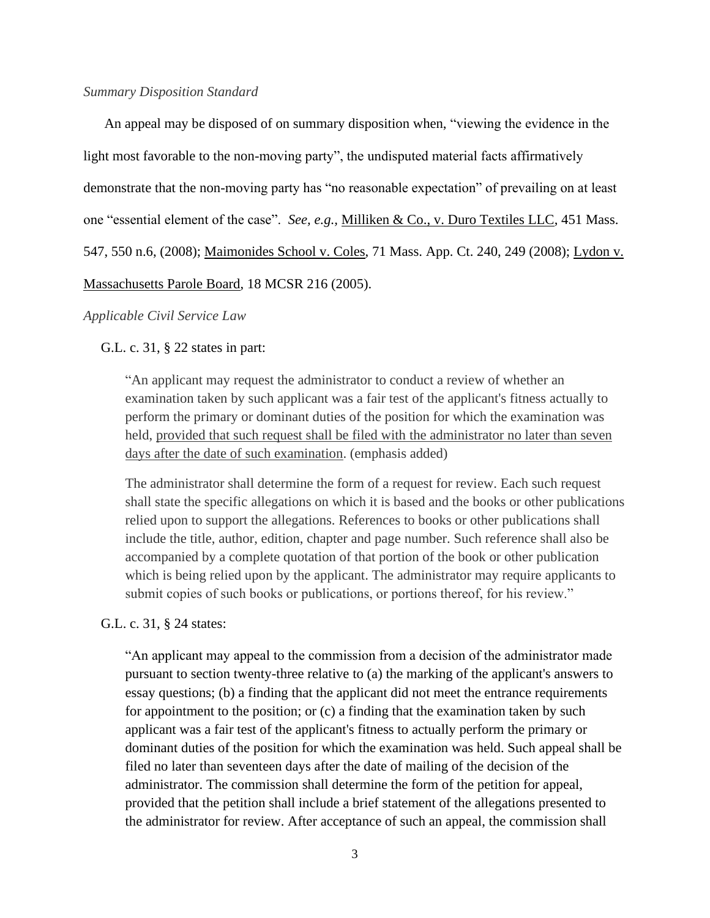#### *Summary Disposition Standard*

An appeal may be disposed of on summary disposition when, "viewing the evidence in the light most favorable to the non-moving party", the undisputed material facts affirmatively demonstrate that the non-moving party has "no reasonable expectation" of prevailing on at least one "essential element of the case". *See, e.g.,* Milliken & Co., v. Duro Textiles LLC, 451 Mass. 547, 550 n.6, (2008); Maimonides School v. Coles, 71 Mass. App. Ct. 240, 249 (2008); Lydon v. Massachusetts Parole Board, 18 MCSR 216 (2005).

# *Applicable Civil Service Law*

#### G.L. c. 31, § 22 states in part:

"An applicant may request the administrator to conduct a review of whether an examination taken by such applicant was a fair test of the applicant's fitness actually to perform the primary or dominant duties of the position for which the examination was held, provided that such request shall be filed with the administrator no later than seven days after the date of such examination. (emphasis added)

The administrator shall determine the form of a request for review. Each such request shall state the specific allegations on which it is based and the books or other publications relied upon to support the allegations. References to books or other publications shall include the title, author, edition, chapter and page number. Such reference shall also be accompanied by a complete quotation of that portion of the book or other publication which is being relied upon by the applicant. The administrator may require applicants to submit copies of such books or publications, or portions thereof, for his review."

#### G.L. c. 31, § 24 states:

"An applicant may appeal to the commission from a decision of the administrator made pursuant to section twenty-three relative to (a) the marking of the applicant's answers to essay questions; (b) a finding that the applicant did not meet the entrance requirements for appointment to the position; or (c) a finding that the examination taken by such applicant was a fair test of the applicant's fitness to actually perform the primary or dominant duties of the position for which the examination was held. Such appeal shall be filed no later than seventeen days after the date of mailing of the decision of the administrator. The commission shall determine the form of the petition for appeal, provided that the petition shall include a brief statement of the allegations presented to the administrator for review. After acceptance of such an appeal, the commission shall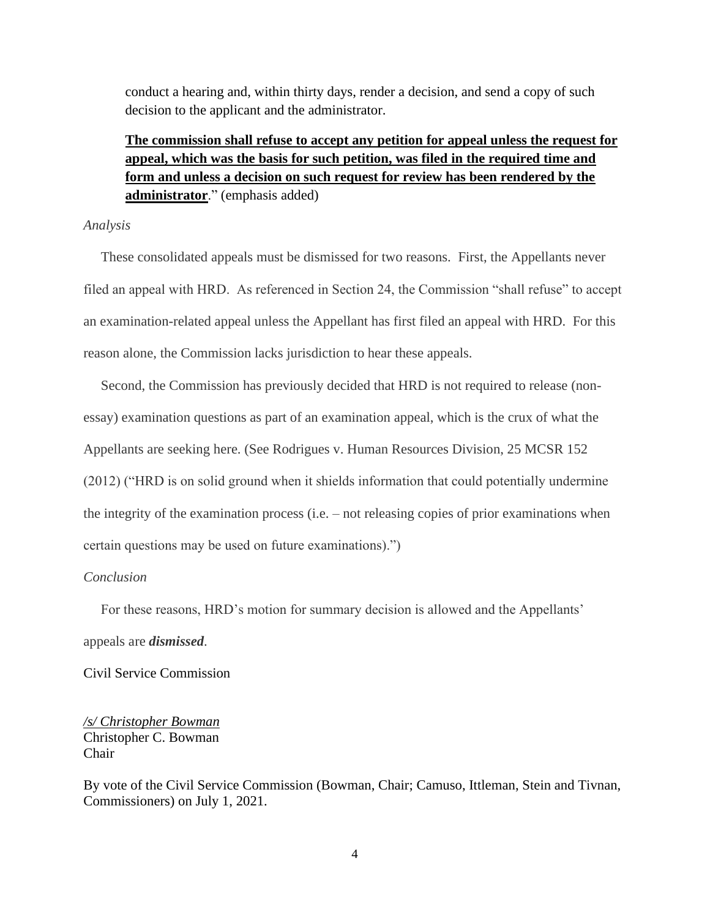conduct a hearing and, within thirty days, render a decision, and send a copy of such decision to the applicant and the administrator.

# **The commission shall refuse to accept any petition for appeal unless the request for appeal, which was the basis for such petition, was filed in the required time and form and unless a decision on such request for review has been rendered by the administrator**." (emphasis added)

#### *Analysis*

 These consolidated appeals must be dismissed for two reasons. First, the Appellants never filed an appeal with HRD. As referenced in Section 24, the Commission "shall refuse" to accept an examination-related appeal unless the Appellant has first filed an appeal with HRD. For this reason alone, the Commission lacks jurisdiction to hear these appeals.

 Second, the Commission has previously decided that HRD is not required to release (nonessay) examination questions as part of an examination appeal, which is the crux of what the Appellants are seeking here. (See Rodrigues v. Human Resources Division, 25 MCSR 152 (2012) ("HRD is on solid ground when it shields information that could potentially undermine the integrity of the examination process (i.e. – not releasing copies of prior examinations when certain questions may be used on future examinations).")

#### *Conclusion*

 For these reasons, HRD's motion for summary decision is allowed and the Appellants' appeals are *dismissed*.

#### Civil Service Commission

*/s/ Christopher Bowman* Christopher C. Bowman Chair

By vote of the Civil Service Commission (Bowman, Chair; Camuso, Ittleman, Stein and Tivnan, Commissioners) on July 1, 2021.